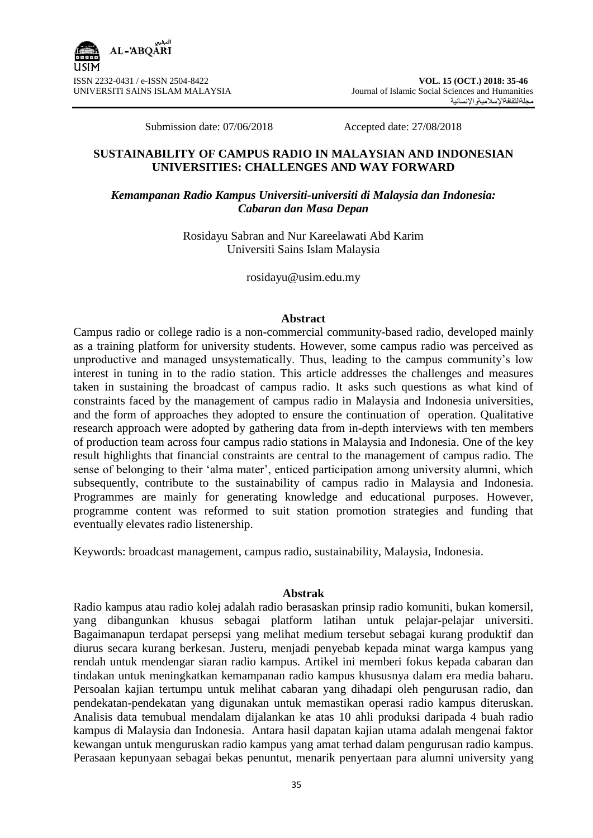

Submission date: 07/06/2018 Accepted date: 27/08/2018

## **SUSTAINABILITY OF CAMPUS RADIO IN MALAYSIAN AND INDONESIAN UNIVERSITIES: CHALLENGES AND WAY FORWARD**

## *Kemampanan Radio Kampus Universiti-universiti di Malaysia dan Indonesia: Cabaran dan Masa Depan*

Rosidayu Sabran and Nur Kareelawati Abd Karim Universiti Sains Islam Malaysia

rosidayu@usim.edu.my

#### **Abstract**

Campus radio or college radio is a non-commercial community-based radio, developed mainly as a training platform for university students. However, some campus radio was perceived as unproductive and managed unsystematically. Thus, leading to the campus community's low interest in tuning in to the radio station. This article addresses the challenges and measures taken in sustaining the broadcast of campus radio. It asks such questions as what kind of constraints faced by the management of campus radio in Malaysia and Indonesia universities, and the form of approaches they adopted to ensure the continuation of operation. Qualitative research approach were adopted by gathering data from in-depth interviews with ten members of production team across four campus radio stations in Malaysia and Indonesia. One of the key result highlights that financial constraints are central to the management of campus radio. The sense of belonging to their 'alma mater', enticed participation among university alumni, which subsequently, contribute to the sustainability of campus radio in Malaysia and Indonesia. Programmes are mainly for generating knowledge and educational purposes. However, programme content was reformed to suit station promotion strategies and funding that eventually elevates radio listenership.

Keywords: broadcast management, campus radio, sustainability, Malaysia, Indonesia.

### **Abstrak**

Radio kampus atau radio kolej adalah radio berasaskan prinsip radio komuniti, bukan komersil, yang dibangunkan khusus sebagai platform latihan untuk pelajar-pelajar universiti. Bagaimanapun terdapat persepsi yang melihat medium tersebut sebagai kurang produktif dan diurus secara kurang berkesan. Justeru, menjadi penyebab kepada minat warga kampus yang rendah untuk mendengar siaran radio kampus. Artikel ini memberi fokus kepada cabaran dan tindakan untuk meningkatkan kemampanan radio kampus khususnya dalam era media baharu. Persoalan kajian tertumpu untuk melihat cabaran yang dihadapi oleh pengurusan radio, dan pendekatan-pendekatan yang digunakan untuk memastikan operasi radio kampus diteruskan. Analisis data temubual mendalam dijalankan ke atas 10 ahli produksi daripada 4 buah radio kampus di Malaysia dan Indonesia. Antara hasil dapatan kajian utama adalah mengenai faktor kewangan untuk menguruskan radio kampus yang amat terhad dalam pengurusan radio kampus. Perasaan kepunyaan sebagai bekas penuntut, menarik penyertaan para alumni university yang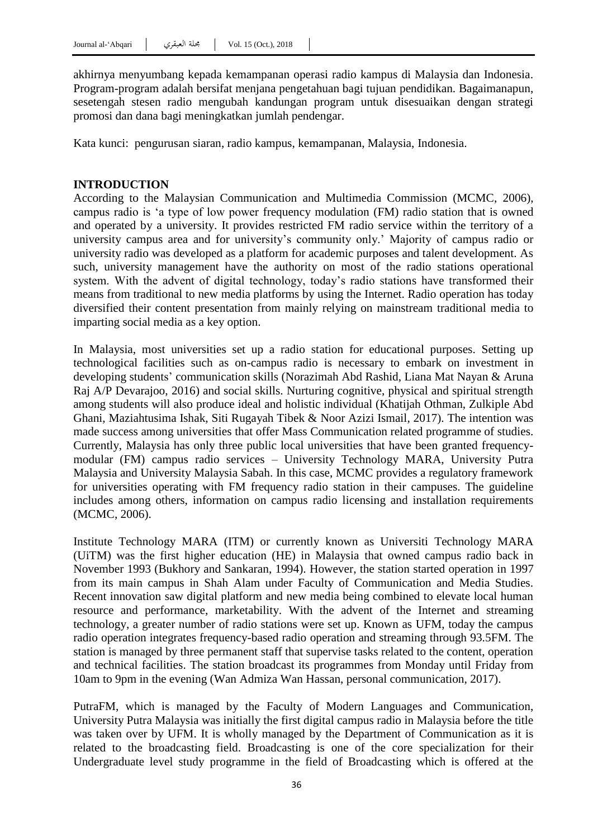akhirnya menyumbang kepada kemampanan operasi radio kampus di Malaysia dan Indonesia. Program-program adalah bersifat menjana pengetahuan bagi tujuan pendidikan. Bagaimanapun, sesetengah stesen radio mengubah kandungan program untuk disesuaikan dengan strategi promosi dan dana bagi meningkatkan jumlah pendengar.

Kata kunci: pengurusan siaran, radio kampus, kemampanan, Malaysia, Indonesia.

### **INTRODUCTION**

According to the Malaysian Communication and Multimedia Commission (MCMC, 2006), campus radio is "a type of low power frequency modulation (FM) radio station that is owned and operated by a university. It provides restricted FM radio service within the territory of a university campus area and for university"s community only." Majority of campus radio or university radio was developed as a platform for academic purposes and talent development. As such, university management have the authority on most of the radio stations operational system. With the advent of digital technology, today"s radio stations have transformed their means from traditional to new media platforms by using the Internet. Radio operation has today diversified their content presentation from mainly relying on mainstream traditional media to imparting social media as a key option.

In Malaysia, most universities set up a radio station for educational purposes. Setting up technological facilities such as on-campus radio is necessary to embark on investment in developing students" communication skills (Norazimah Abd Rashid, Liana Mat Nayan & Aruna Raj A/P Devarajoo, 2016) and social skills. Nurturing cognitive, physical and spiritual strength among students will also produce ideal and holistic individual (Khatijah Othman, Zulkiple Abd Ghani, Maziahtusima Ishak, Siti Rugayah Tibek & Noor Azizi Ismail, 2017). The intention was made success among universities that offer Mass Communication related programme of studies. Currently, Malaysia has only three public local universities that have been granted frequencymodular (FM) campus radio services – University Technology MARA, University Putra Malaysia and University Malaysia Sabah. In this case, MCMC provides a regulatory framework for universities operating with FM frequency radio station in their campuses. The guideline includes among others, information on campus radio licensing and installation requirements (MCMC, 2006).

Institute Technology MARA (ITM) or currently known as Universiti Technology MARA (UiTM) was the first higher education (HE) in Malaysia that owned campus radio back in November 1993 (Bukhory and Sankaran, 1994). However, the station started operation in 1997 from its main campus in Shah Alam under Faculty of Communication and Media Studies. Recent innovation saw digital platform and new media being combined to elevate local human resource and performance, marketability. With the advent of the Internet and streaming technology, a greater number of radio stations were set up. Known as UFM, today the campus radio operation integrates frequency-based radio operation and streaming through 93.5FM. The station is managed by three permanent staff that supervise tasks related to the content, operation and technical facilities. The station broadcast its programmes from Monday until Friday from 10am to 9pm in the evening (Wan Admiza Wan Hassan, personal communication, 2017).

PutraFM, which is managed by the Faculty of Modern Languages and Communication, University Putra Malaysia was initially the first digital campus radio in Malaysia before the title was taken over by UFM. It is wholly managed by the Department of Communication as it is related to the broadcasting field. Broadcasting is one of the core specialization for their Undergraduate level study programme in the field of Broadcasting which is offered at the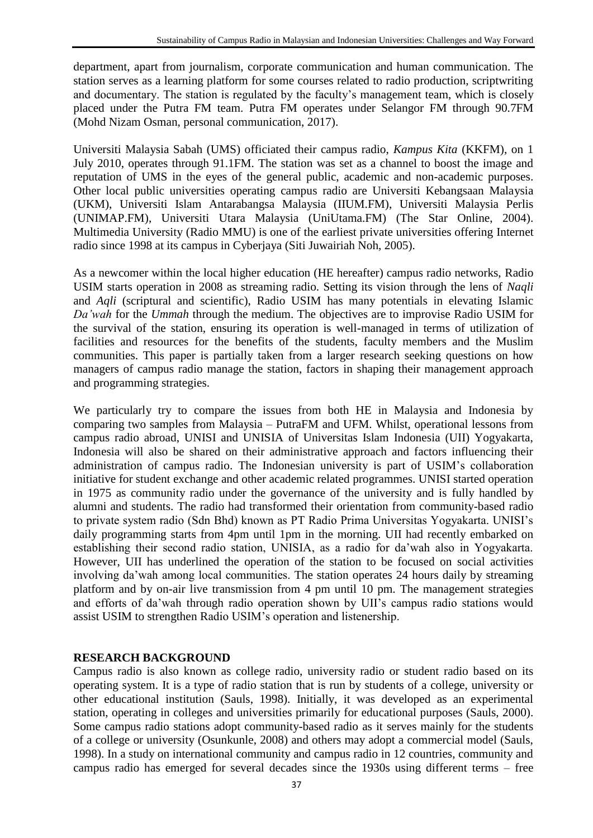department, apart from journalism, corporate communication and human communication. The station serves as a learning platform for some courses related to radio production, scriptwriting and documentary. The station is regulated by the faculty"s management team, which is closely placed under the Putra FM team. Putra FM operates under Selangor FM through 90.7FM (Mohd Nizam Osman, personal communication, 2017).

Universiti Malaysia Sabah (UMS) officiated their campus radio, *Kampus Kita* (KKFM), on 1 July 2010, operates through 91.1FM. The station was set as a channel to boost the image and reputation of UMS in the eyes of the general public, academic and non-academic purposes. Other local public universities operating campus radio are Universiti Kebangsaan Malaysia (UKM), Universiti Islam Antarabangsa Malaysia (IIUM.FM), Universiti Malaysia Perlis (UNIMAP.FM), Universiti Utara Malaysia (UniUtama.FM) (The Star Online, 2004). Multimedia University (Radio MMU) is one of the earliest private universities offering Internet radio since 1998 at its campus in Cyberjaya (Siti Juwairiah Noh, 2005).

As a newcomer within the local higher education (HE hereafter) campus radio networks, Radio USIM starts operation in 2008 as streaming radio. Setting its vision through the lens of *Naqli* and *Aqli* (scriptural and scientific), Radio USIM has many potentials in elevating Islamic *Da'wah* for the *Ummah* through the medium. The objectives are to improvise Radio USIM for the survival of the station, ensuring its operation is well-managed in terms of utilization of facilities and resources for the benefits of the students, faculty members and the Muslim communities. This paper is partially taken from a larger research seeking questions on how managers of campus radio manage the station, factors in shaping their management approach and programming strategies.

We particularly try to compare the issues from both HE in Malaysia and Indonesia by comparing two samples from Malaysia – PutraFM and UFM. Whilst, operational lessons from campus radio abroad, UNISI and UNISIA of Universitas Islam Indonesia (UII) Yogyakarta, Indonesia will also be shared on their administrative approach and factors influencing their administration of campus radio. The Indonesian university is part of USIM"s collaboration initiative for student exchange and other academic related programmes. UNISI started operation in 1975 as community radio under the governance of the university and is fully handled by alumni and students. The radio had transformed their orientation from community-based radio to private system radio (Sdn Bhd) known as PT Radio Prima Universitas Yogyakarta. UNISI"s daily programming starts from 4pm until 1pm in the morning. UII had recently embarked on establishing their second radio station, UNISIA, as a radio for da"wah also in Yogyakarta. However, UII has underlined the operation of the station to be focused on social activities involving da"wah among local communities. The station operates 24 hours daily by streaming platform and by on-air live transmission from 4 pm until 10 pm. The management strategies and efforts of da"wah through radio operation shown by UII"s campus radio stations would assist USIM to strengthen Radio USIM"s operation and listenership.

## **RESEARCH BACKGROUND**

Campus radio is also known as college radio, university radio or student radio based on its operating system. It is a type of radio station that is run by students of a college, university or other educational institution (Sauls, 1998). Initially, it was developed as an experimental station, operating in colleges and universities primarily for educational purposes (Sauls, 2000). Some campus radio stations adopt community-based radio as it serves mainly for the students of a college or university (Osunkunle, 2008) and others may adopt a commercial model (Sauls, 1998). In a study on international community and campus radio in 12 countries, community and campus radio has emerged for several decades since the 1930s using different terms – free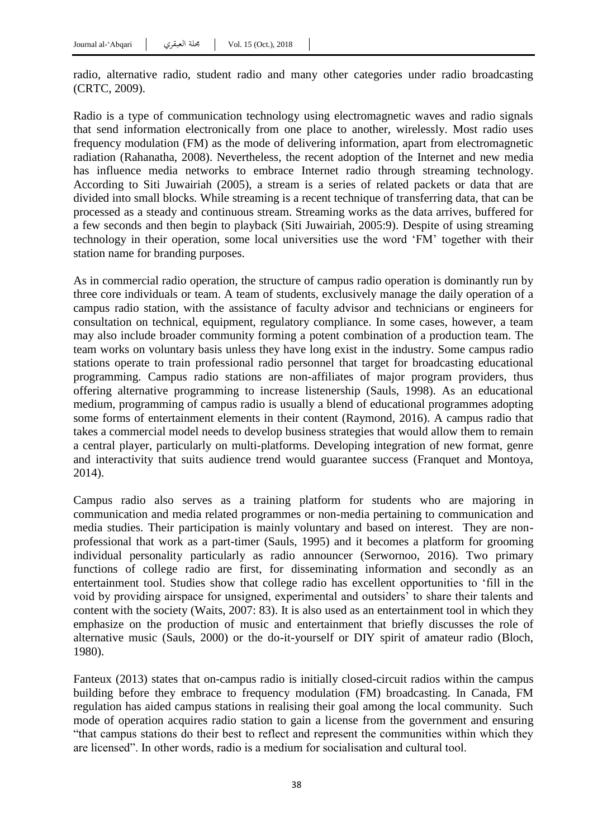radio, alternative radio, student radio and many other categories under radio broadcasting (CRTC, 2009).

Radio is a type of communication technology using electromagnetic waves and radio signals that send information electronically from one place to another, wirelessly. Most radio uses frequency modulation (FM) as the mode of delivering information, apart from electromagnetic radiation (Rahanatha, 2008). Nevertheless, the recent adoption of the Internet and new media has influence media networks to embrace Internet radio through streaming technology. According to Siti Juwairiah (2005), a stream is a series of related packets or data that are divided into small blocks. While streaming is a recent technique of transferring data, that can be processed as a steady and continuous stream. Streaming works as the data arrives, buffered for a few seconds and then begin to playback (Siti Juwairiah, 2005:9). Despite of using streaming technology in their operation, some local universities use the word "FM" together with their station name for branding purposes.

As in commercial radio operation, the structure of campus radio operation is dominantly run by three core individuals or team. A team of students, exclusively manage the daily operation of a campus radio station, with the assistance of faculty advisor and technicians or engineers for consultation on technical, equipment, regulatory compliance. In some cases, however, a team may also include broader community forming a potent combination of a production team. The team works on voluntary basis unless they have long exist in the industry. Some campus radio stations operate to train professional radio personnel that target for broadcasting educational programming. Campus radio stations are non-affiliates of major program providers, thus offering alternative programming to increase listenership (Sauls, 1998). As an educational medium, programming of campus radio is usually a blend of educational programmes adopting some forms of entertainment elements in their content (Raymond, 2016). A campus radio that takes a commercial model needs to develop business strategies that would allow them to remain a central player, particularly on multi-platforms. Developing integration of new format, genre and interactivity that suits audience trend would guarantee success (Franquet and Montoya, 2014).

Campus radio also serves as a training platform for students who are majoring in communication and media related programmes or non-media pertaining to communication and media studies. Their participation is mainly voluntary and based on interest. They are nonprofessional that work as a part-timer (Sauls, 1995) and it becomes a platform for grooming individual personality particularly as radio announcer (Serwornoo, 2016). Two primary functions of college radio are first, for disseminating information and secondly as an entertainment tool. Studies show that college radio has excellent opportunities to "fill in the void by providing airspace for unsigned, experimental and outsiders" to share their talents and content with the society (Waits, 2007: 83). It is also used as an entertainment tool in which they emphasize on the production of music and entertainment that briefly discusses the role of alternative music (Sauls, 2000) or the do-it-yourself or DIY spirit of amateur radio (Bloch, 1980).

Fanteux (2013) states that on-campus radio is initially closed-circuit radios within the campus building before they embrace to frequency modulation (FM) broadcasting. In Canada, FM regulation has aided campus stations in realising their goal among the local community. Such mode of operation acquires radio station to gain a license from the government and ensuring "that campus stations do their best to reflect and represent the communities within which they are licensed". In other words, radio is a medium for socialisation and cultural tool.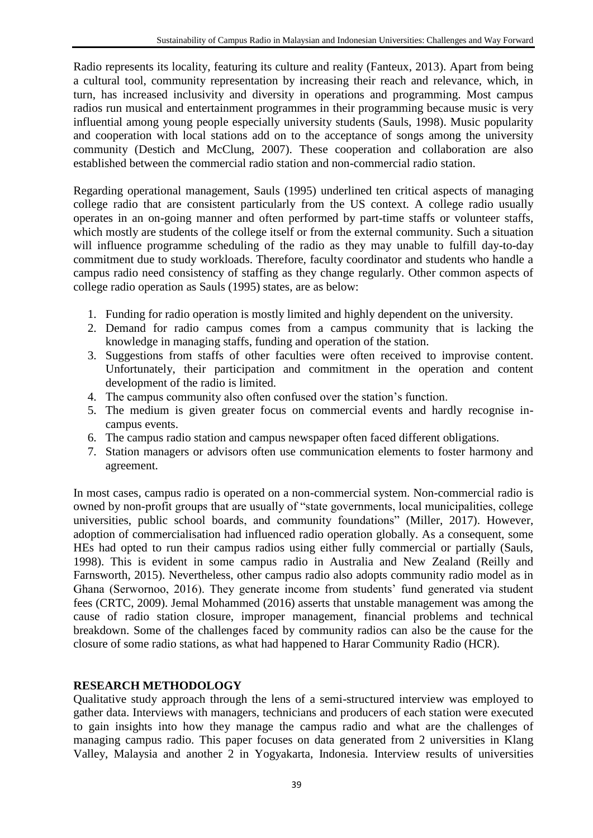Radio represents its locality, featuring its culture and reality (Fanteux, 2013). Apart from being a cultural tool, community representation by increasing their reach and relevance, which, in turn, has increased inclusivity and diversity in operations and programming. Most campus radios run musical and entertainment programmes in their programming because music is very influential among young people especially university students (Sauls, 1998). Music popularity and cooperation with local stations add on to the acceptance of songs among the university community (Destich and McClung, 2007). These cooperation and collaboration are also established between the commercial radio station and non-commercial radio station.

Regarding operational management, Sauls (1995) underlined ten critical aspects of managing college radio that are consistent particularly from the US context. A college radio usually operates in an on-going manner and often performed by part-time staffs or volunteer staffs, which mostly are students of the college itself or from the external community. Such a situation will influence programme scheduling of the radio as they may unable to fulfill day-to-day commitment due to study workloads. Therefore, faculty coordinator and students who handle a campus radio need consistency of staffing as they change regularly. Other common aspects of college radio operation as Sauls (1995) states, are as below:

- 1. Funding for radio operation is mostly limited and highly dependent on the university.
- 2. Demand for radio campus comes from a campus community that is lacking the knowledge in managing staffs, funding and operation of the station.
- 3. Suggestions from staffs of other faculties were often received to improvise content. Unfortunately, their participation and commitment in the operation and content development of the radio is limited.
- 4. The campus community also often confused over the station"s function.
- 5. The medium is given greater focus on commercial events and hardly recognise incampus events.
- 6. The campus radio station and campus newspaper often faced different obligations.
- 7. Station managers or advisors often use communication elements to foster harmony and agreement.

In most cases, campus radio is operated on a non-commercial system. Non-commercial radio is owned by non-profit groups that are usually of "state governments, local municipalities, college universities, public school boards, and community foundations" (Miller, 2017). However, adoption of commercialisation had influenced radio operation globally. As a consequent, some HEs had opted to run their campus radios using either fully commercial or partially (Sauls, 1998). This is evident in some campus radio in Australia and New Zealand (Reilly and Farnsworth, 2015). Nevertheless, other campus radio also adopts community radio model as in Ghana (Serwornoo, 2016). They generate income from students' fund generated via student fees (CRTC, 2009). Jemal Mohammed (2016) asserts that unstable management was among the cause of radio station closure, improper management, financial problems and technical breakdown. Some of the challenges faced by community radios can also be the cause for the closure of some radio stations, as what had happened to Harar Community Radio (HCR).

# **RESEARCH METHODOLOGY**

Qualitative study approach through the lens of a semi-structured interview was employed to gather data. Interviews with managers, technicians and producers of each station were executed to gain insights into how they manage the campus radio and what are the challenges of managing campus radio. This paper focuses on data generated from 2 universities in Klang Valley, Malaysia and another 2 in Yogyakarta, Indonesia. Interview results of universities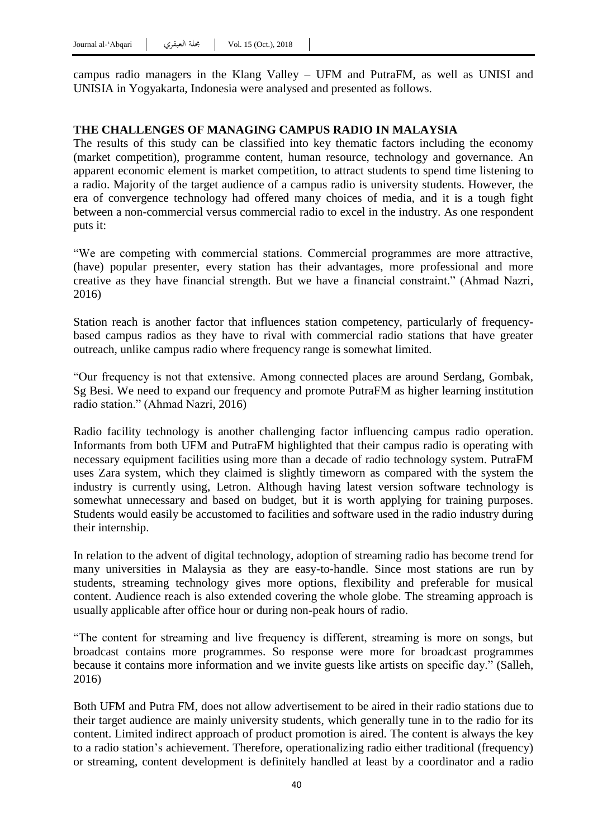campus radio managers in the Klang Valley – UFM and PutraFM, as well as UNISI and UNISIA in Yogyakarta, Indonesia were analysed and presented as follows.

### **THE CHALLENGES OF MANAGING CAMPUS RADIO IN MALAYSIA**

The results of this study can be classified into key thematic factors including the economy (market competition), programme content, human resource, technology and governance. An apparent economic element is market competition, to attract students to spend time listening to a radio. Majority of the target audience of a campus radio is university students. However, the era of convergence technology had offered many choices of media, and it is a tough fight between a non-commercial versus commercial radio to excel in the industry. As one respondent puts it:

"We are competing with commercial stations. Commercial programmes are more attractive, (have) popular presenter, every station has their advantages, more professional and more creative as they have financial strength. But we have a financial constraint." (Ahmad Nazri, 2016)

Station reach is another factor that influences station competency, particularly of frequencybased campus radios as they have to rival with commercial radio stations that have greater outreach, unlike campus radio where frequency range is somewhat limited.

"Our frequency is not that extensive. Among connected places are around Serdang, Gombak, Sg Besi. We need to expand our frequency and promote PutraFM as higher learning institution radio station." (Ahmad Nazri, 2016)

Radio facility technology is another challenging factor influencing campus radio operation. Informants from both UFM and PutraFM highlighted that their campus radio is operating with necessary equipment facilities using more than a decade of radio technology system. PutraFM uses Zara system, which they claimed is slightly timeworn as compared with the system the industry is currently using, Letron. Although having latest version software technology is somewhat unnecessary and based on budget, but it is worth applying for training purposes. Students would easily be accustomed to facilities and software used in the radio industry during their internship.

In relation to the advent of digital technology, adoption of streaming radio has become trend for many universities in Malaysia as they are easy-to-handle. Since most stations are run by students, streaming technology gives more options, flexibility and preferable for musical content. Audience reach is also extended covering the whole globe. The streaming approach is usually applicable after office hour or during non-peak hours of radio.

"The content for streaming and live frequency is different, streaming is more on songs, but broadcast contains more programmes. So response were more for broadcast programmes because it contains more information and we invite guests like artists on specific day." (Salleh, 2016)

Both UFM and Putra FM, does not allow advertisement to be aired in their radio stations due to their target audience are mainly university students, which generally tune in to the radio for its content. Limited indirect approach of product promotion is aired. The content is always the key to a radio station"s achievement. Therefore, operationalizing radio either traditional (frequency) or streaming, content development is definitely handled at least by a coordinator and a radio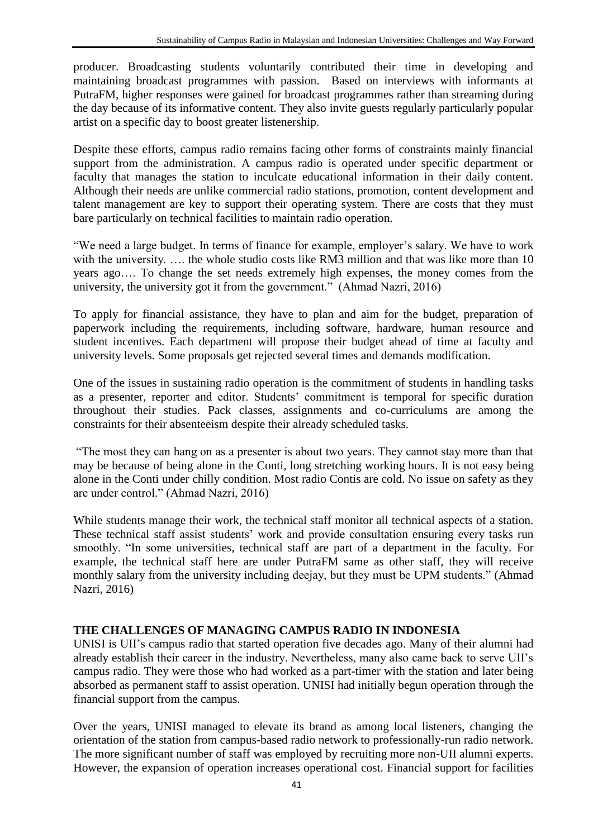producer. Broadcasting students voluntarily contributed their time in developing and maintaining broadcast programmes with passion. Based on interviews with informants at PutraFM, higher responses were gained for broadcast programmes rather than streaming during the day because of its informative content. They also invite guests regularly particularly popular artist on a specific day to boost greater listenership.

Despite these efforts, campus radio remains facing other forms of constraints mainly financial support from the administration. A campus radio is operated under specific department or faculty that manages the station to inculcate educational information in their daily content. Although their needs are unlike commercial radio stations, promotion, content development and talent management are key to support their operating system. There are costs that they must bare particularly on technical facilities to maintain radio operation.

"We need a large budget. In terms of finance for example, employer's salary. We have to work with the university. ..., the whole studio costs like RM3 million and that was like more than 10 years ago…. To change the set needs extremely high expenses, the money comes from the university, the university got it from the government." (Ahmad Nazri, 2016)

To apply for financial assistance, they have to plan and aim for the budget, preparation of paperwork including the requirements, including software, hardware, human resource and student incentives. Each department will propose their budget ahead of time at faculty and university levels. Some proposals get rejected several times and demands modification.

One of the issues in sustaining radio operation is the commitment of students in handling tasks as a presenter, reporter and editor. Students' commitment is temporal for specific duration throughout their studies. Pack classes, assignments and co-curriculums are among the constraints for their absenteeism despite their already scheduled tasks.

"The most they can hang on as a presenter is about two years. They cannot stay more than that may be because of being alone in the Conti, long stretching working hours. It is not easy being alone in the Conti under chilly condition. Most radio Contis are cold. No issue on safety as they are under control." (Ahmad Nazri, 2016)

While students manage their work, the technical staff monitor all technical aspects of a station. These technical staff assist students' work and provide consultation ensuring every tasks run smoothly. "In some universities, technical staff are part of a department in the faculty. For example, the technical staff here are under PutraFM same as other staff, they will receive monthly salary from the university including deejay, but they must be UPM students." (Ahmad Nazri, 2016)

# **THE CHALLENGES OF MANAGING CAMPUS RADIO IN INDONESIA**

UNISI is UII"s campus radio that started operation five decades ago. Many of their alumni had already establish their career in the industry. Nevertheless, many also came back to serve UII"s campus radio. They were those who had worked as a part-timer with the station and later being absorbed as permanent staff to assist operation. UNISI had initially begun operation through the financial support from the campus.

Over the years, UNISI managed to elevate its brand as among local listeners, changing the orientation of the station from campus-based radio network to professionally-run radio network. The more significant number of staff was employed by recruiting more non-UII alumni experts. However, the expansion of operation increases operational cost. Financial support for facilities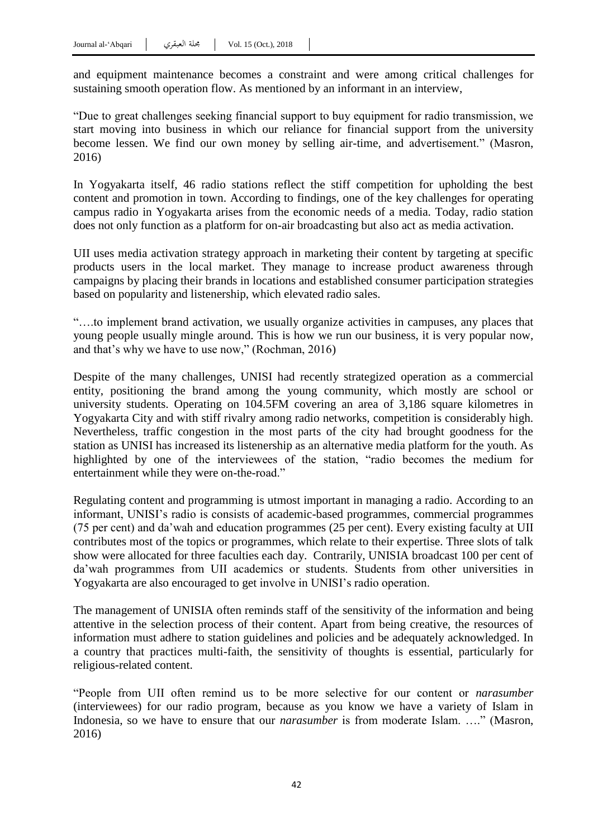and equipment maintenance becomes a constraint and were among critical challenges for sustaining smooth operation flow. As mentioned by an informant in an interview,

"Due to great challenges seeking financial support to buy equipment for radio transmission, we start moving into business in which our reliance for financial support from the university become lessen. We find our own money by selling air-time, and advertisement." (Masron, 2016)

In Yogyakarta itself, 46 radio stations reflect the stiff competition for upholding the best content and promotion in town. According to findings, one of the key challenges for operating campus radio in Yogyakarta arises from the economic needs of a media. Today, radio station does not only function as a platform for on-air broadcasting but also act as media activation.

UII uses media activation strategy approach in marketing their content by targeting at specific products users in the local market. They manage to increase product awareness through campaigns by placing their brands in locations and established consumer participation strategies based on popularity and listenership, which elevated radio sales.

"….to implement brand activation, we usually organize activities in campuses, any places that young people usually mingle around. This is how we run our business, it is very popular now, and that"s why we have to use now," (Rochman, 2016)

Despite of the many challenges, UNISI had recently strategized operation as a commercial entity, positioning the brand among the young community, which mostly are school or university students. Operating on 104.5FM covering an area of 3,186 square kilometres in Yogyakarta City and with stiff rivalry among radio networks, competition is considerably high. Nevertheless, traffic congestion in the most parts of the city had brought goodness for the station as UNISI has increased its listenership as an alternative media platform for the youth. As highlighted by one of the interviewees of the station, "radio becomes the medium for entertainment while they were on-the-road."

Regulating content and programming is utmost important in managing a radio. According to an informant, UNISI"s radio is consists of academic-based programmes, commercial programmes (75 per cent) and da"wah and education programmes (25 per cent). Every existing faculty at UII contributes most of the topics or programmes, which relate to their expertise. Three slots of talk show were allocated for three faculties each day. Contrarily, UNISIA broadcast 100 per cent of da"wah programmes from UII academics or students. Students from other universities in Yogyakarta are also encouraged to get involve in UNISI"s radio operation.

The management of UNISIA often reminds staff of the sensitivity of the information and being attentive in the selection process of their content. Apart from being creative, the resources of information must adhere to station guidelines and policies and be adequately acknowledged. In a country that practices multi-faith, the sensitivity of thoughts is essential, particularly for religious-related content.

"People from UII often remind us to be more selective for our content or *narasumber* (interviewees) for our radio program, because as you know we have a variety of Islam in Indonesia, so we have to ensure that our *narasumber* is from moderate Islam. …." (Masron, 2016)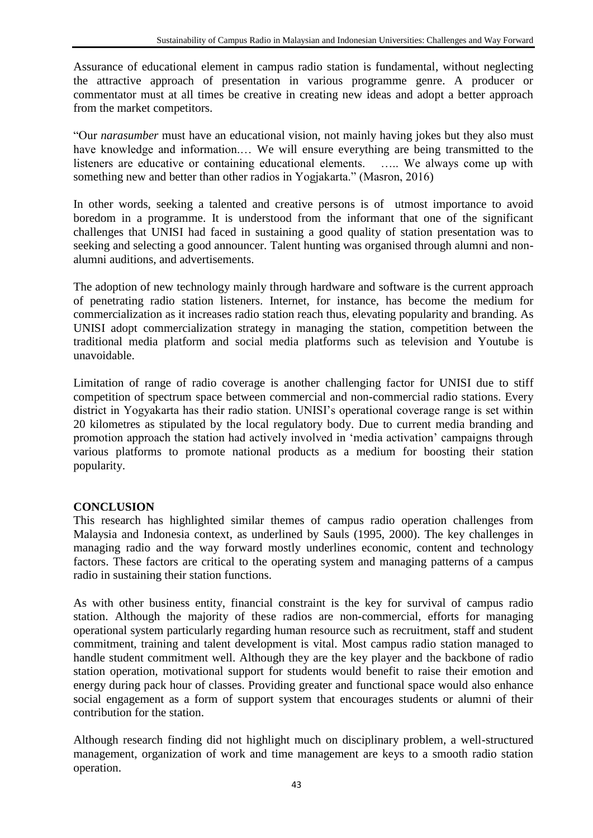Assurance of educational element in campus radio station is fundamental, without neglecting the attractive approach of presentation in various programme genre. A producer or commentator must at all times be creative in creating new ideas and adopt a better approach from the market competitors.

"Our *narasumber* must have an educational vision, not mainly having jokes but they also must have knowledge and information.... We will ensure everything are being transmitted to the listeners are educative or containing educational elements. ….. We always come up with something new and better than other radios in Yogjakarta." (Masron, 2016)

In other words, seeking a talented and creative persons is of utmost importance to avoid boredom in a programme. It is understood from the informant that one of the significant challenges that UNISI had faced in sustaining a good quality of station presentation was to seeking and selecting a good announcer. Talent hunting was organised through alumni and nonalumni auditions, and advertisements.

The adoption of new technology mainly through hardware and software is the current approach of penetrating radio station listeners. Internet, for instance, has become the medium for commercialization as it increases radio station reach thus, elevating popularity and branding. As UNISI adopt commercialization strategy in managing the station, competition between the traditional media platform and social media platforms such as television and Youtube is unavoidable.

Limitation of range of radio coverage is another challenging factor for UNISI due to stiff competition of spectrum space between commercial and non-commercial radio stations. Every district in Yogyakarta has their radio station. UNISI's operational coverage range is set within 20 kilometres as stipulated by the local regulatory body. Due to current media branding and promotion approach the station had actively involved in "media activation" campaigns through various platforms to promote national products as a medium for boosting their station popularity.

## **CONCLUSION**

This research has highlighted similar themes of campus radio operation challenges from Malaysia and Indonesia context, as underlined by Sauls (1995, 2000). The key challenges in managing radio and the way forward mostly underlines economic, content and technology factors. These factors are critical to the operating system and managing patterns of a campus radio in sustaining their station functions.

As with other business entity, financial constraint is the key for survival of campus radio station. Although the majority of these radios are non-commercial, efforts for managing operational system particularly regarding human resource such as recruitment, staff and student commitment, training and talent development is vital. Most campus radio station managed to handle student commitment well. Although they are the key player and the backbone of radio station operation, motivational support for students would benefit to raise their emotion and energy during pack hour of classes. Providing greater and functional space would also enhance social engagement as a form of support system that encourages students or alumni of their contribution for the station.

Although research finding did not highlight much on disciplinary problem, a well-structured management, organization of work and time management are keys to a smooth radio station operation.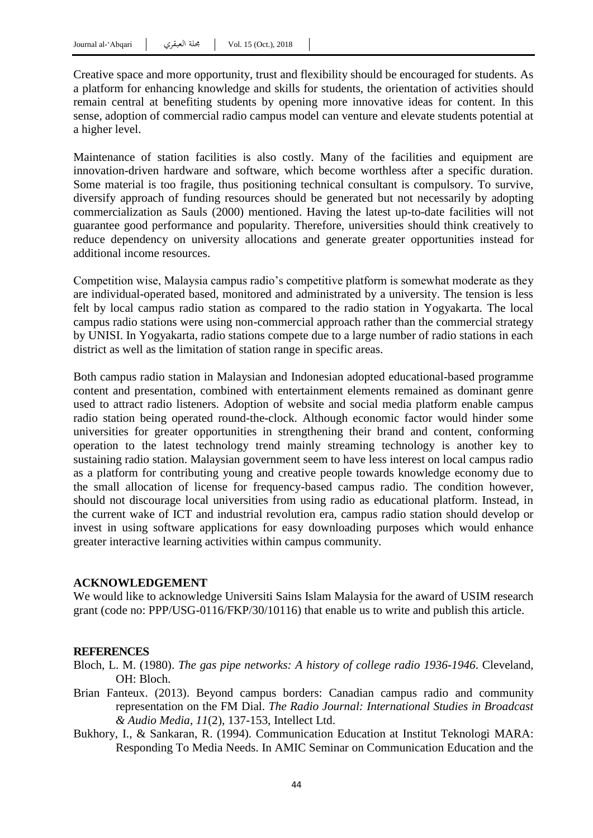Creative space and more opportunity, trust and flexibility should be encouraged for students. As a platform for enhancing knowledge and skills for students, the orientation of activities should remain central at benefiting students by opening more innovative ideas for content. In this sense, adoption of commercial radio campus model can venture and elevate students potential at a higher level.

Maintenance of station facilities is also costly. Many of the facilities and equipment are innovation-driven hardware and software, which become worthless after a specific duration. Some material is too fragile, thus positioning technical consultant is compulsory. To survive, diversify approach of funding resources should be generated but not necessarily by adopting commercialization as Sauls (2000) mentioned. Having the latest up-to-date facilities will not guarantee good performance and popularity. Therefore, universities should think creatively to reduce dependency on university allocations and generate greater opportunities instead for additional income resources.

Competition wise, Malaysia campus radio"s competitive platform is somewhat moderate as they are individual-operated based, monitored and administrated by a university. The tension is less felt by local campus radio station as compared to the radio station in Yogyakarta. The local campus radio stations were using non-commercial approach rather than the commercial strategy by UNISI. In Yogyakarta, radio stations compete due to a large number of radio stations in each district as well as the limitation of station range in specific areas.

Both campus radio station in Malaysian and Indonesian adopted educational-based programme content and presentation, combined with entertainment elements remained as dominant genre used to attract radio listeners. Adoption of website and social media platform enable campus radio station being operated round-the-clock. Although economic factor would hinder some universities for greater opportunities in strengthening their brand and content, conforming operation to the latest technology trend mainly streaming technology is another key to sustaining radio station. Malaysian government seem to have less interest on local campus radio as a platform for contributing young and creative people towards knowledge economy due to the small allocation of license for frequency-based campus radio. The condition however, should not discourage local universities from using radio as educational platform. Instead, in the current wake of ICT and industrial revolution era, campus radio station should develop or invest in using software applications for easy downloading purposes which would enhance greater interactive learning activities within campus community.

#### **ACKNOWLEDGEMENT**

We would like to acknowledge Universiti Sains Islam Malaysia for the award of USIM research grant (code no: PPP/USG-0116/FKP/30/10116) that enable us to write and publish this article.

### **REFERENCES**

Bloch, L. M. (1980). *The gas pipe networks: A history of college radio 1936-1946*. Cleveland, OH: Bloch.

- Brian Fanteux. (2013). Beyond campus borders: Canadian campus radio and community representation on the FM Dial. *The Radio Journal: International Studies in Broadcast & Audio Media*, *11*(2), 137-153, Intellect Ltd.
- Bukhory, I., & Sankaran, R. (1994). Communication Education at Institut Teknologi MARA: Responding To Media Needs. In AMIC Seminar on Communication Education and the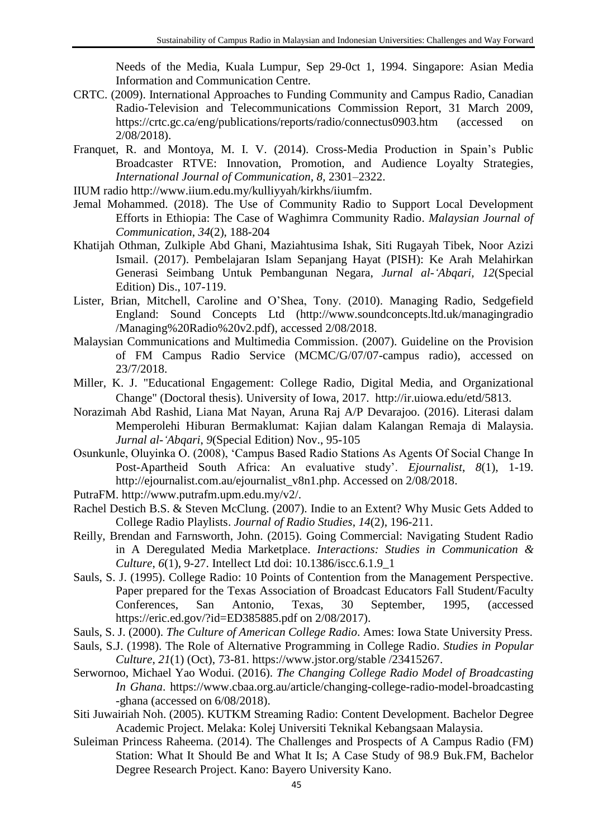Needs of the Media, Kuala Lumpur, Sep 29-0ct 1, 1994. Singapore: Asian Media Information and Communication Centre.

- CRTC. (2009). International Approaches to Funding Community and Campus Radio, Canadian Radio-Television and Telecommunications Commission Report, 31 March 2009, https://crtc.gc.ca/eng/publications/reports/radio/connectus0903.htm (accessed on 2/08/2018).
- Franquet, R. and Montoya, M. I. V. (2014). Cross-Media Production in Spain's Public Broadcaster RTVE: Innovation, Promotion, and Audience Loyalty Strategies, *International Journal of Communication, 8*, 2301–2322.

IIUM radio http://www.iium.edu.my/kulliyyah/kirkhs/iiumfm.

- Jemal Mohammed. (2018). The Use of Community Radio to Support Local Development Efforts in Ethiopia: The Case of Waghimra Community Radio. *Malaysian Journal of Communication*, *34*(2), 188-204
- Khatijah Othman, Zulkiple Abd Ghani, Maziahtusima Ishak, Siti Rugayah Tibek, Noor Azizi Ismail. (2017). Pembelajaran Islam Sepanjang Hayat (PISH): Ke Arah Melahirkan Generasi Seimbang Untuk Pembangunan Negara, *Jurnal al-'Abqari, 12*(Special Edition) Dis., 107-119.
- Lister, Brian, Mitchell, Caroline and O"Shea, Tony. (2010). Managing Radio, Sedgefield England: Sound Concepts Ltd (http://www.soundconcepts.ltd.uk/managingradio /Managing%20Radio%20v2.pdf), accessed 2/08/2018.
- Malaysian Communications and Multimedia Commission. (2007). Guideline on the Provision of FM Campus Radio Service (MCMC/G/07/07-campus radio), accessed on 23/7/2018.
- Miller, K. J. "Educational Engagement: College Radio, Digital Media, and Organizational Change" (Doctoral thesis). University of Iowa, 2017. http://ir.uiowa.edu/etd/5813.
- Norazimah Abd Rashid, Liana Mat Nayan, Aruna Raj A/P Devarajoo. (2016). Literasi dalam Memperolehi Hiburan Bermaklumat: Kajian dalam Kalangan Remaja di Malaysia. *Jurnal al-'Abqari*, *9*(Special Edition) Nov., 95-105
- Osunkunle, Oluyinka O. (2008), "Campus Based Radio Stations As Agents Of Social Change In Post-Apartheid South Africa: An evaluative study'. *Ejournalist*, 8(1), 1-19. http://ejournalist.com.au/ejournalist\_v8n1.php. Accessed on 2/08/2018.
- PutraFM. http://www.putrafm.upm.edu.my/v2/.
- Rachel Destich B.S. & Steven McClung. (2007). Indie to an Extent? Why Music Gets Added to College Radio Playlists. *Journal of Radio Studies*, *14*(2), 196-211.
- Reilly, Brendan and Farnsworth, John. (2015). Going Commercial: Navigating Student Radio in A Deregulated Media Marketplace. *Interactions: Studies in Communication & Culture*, *6*(1), 9-27. Intellect Ltd doi: 10.1386/iscc.6.1.9\_1
- Sauls, S. J. (1995). College Radio: 10 Points of Contention from the Management Perspective. Paper prepared for the Texas Association of Broadcast Educators Fall Student/Faculty Conferences, San Antonio, Texas, 30 September, 1995, (accessed https://eric.ed.gov/?id=ED385885.pdf on 2/08/2017).
- Sauls, S. J. (2000). *The Culture of American College Radio*. Ames: Iowa State University Press.
- Sauls, S.J. (1998). The Role of Alternative Programming in College Radio. *Studies in Popular Culture*, *21*(1) (Oct), 73-81. https://www.jstor.org/stable /23415267.
- Serwornoo, Michael Yao Wodui. (2016). *The Changing College Radio Model of Broadcasting In Ghana*. https://www.cbaa.org.au/article/changing-college-radio-model-broadcasting -ghana (accessed on 6/08/2018).
- Siti Juwairiah Noh. (2005). KUTKM Streaming Radio: Content Development. Bachelor Degree Academic Project. Melaka: Kolej Universiti Teknikal Kebangsaan Malaysia.
- Suleiman Princess Raheema. (2014). The Challenges and Prospects of A Campus Radio (FM) Station: What It Should Be and What It Is; A Case Study of 98.9 Buk.FM, Bachelor Degree Research Project. Kano: Bayero University Kano.